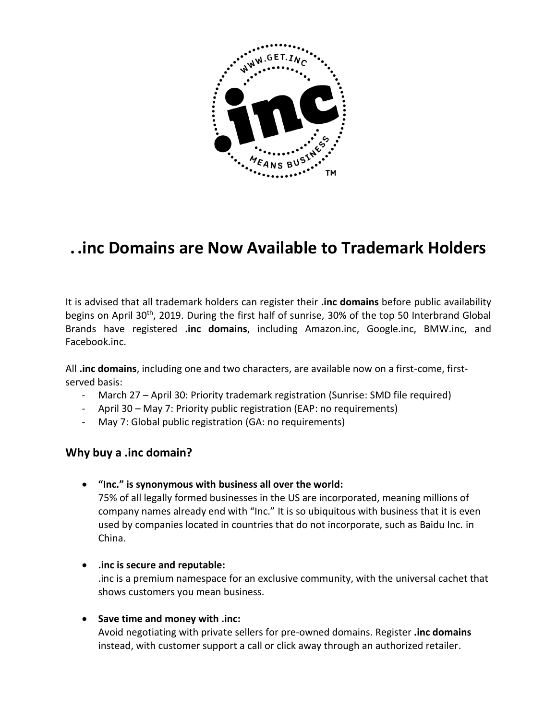

# **. .inc Domains are Now Available to Trademark Holders**

It is advised that all trademark holders can register their **.inc domains** before public availability begins on April 30<sup>th</sup>, 2019. During the first half of sunrise, 30% of the top 50 Interbrand Global Brands have registered **.inc domains**, including Amazon.inc, Google.inc, BMW.inc, and Facebook.inc.

All **.inc domains**, including one and two characters, are available now on a first-come, firstserved basis:

- March 27 April 30: Priority trademark registration (Sunrise: SMD file required)
- April 30 May 7: Priority public registration (EAP: no requirements)
- May 7: Global public registration (GA: no requirements)

# **Why buy a .inc domain?**

**"Inc." is synonymous with business all over the world:**

75% of all legally formed businesses in the US are incorporated, meaning millions of company names already end with "Inc." It is so ubiquitous with business that it is even used by companies located in countries that do not incorporate, such as Baidu Inc. in China.

- **.inc is secure and reputable:** .inc is a premium namespace for an exclusive community, with the universal cachet that shows customers you mean business.
- **Save time and money with .inc:**

Avoid negotiating with private sellers for pre-owned domains. Register **.inc domains** instead, with customer support a call or click away through an authorized retailer.